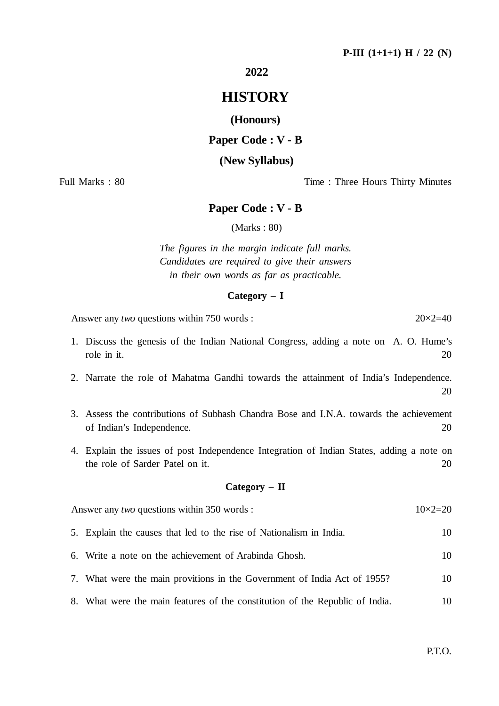**2022**

# **HISTORY**

**(Honours)**

## **Paper Code : V - B**

#### **(New Syllabus)**

Full Marks : 80 Time : Three Hours Thirty Minutes

## **Paper Code : V - B**

(Marks : 80)

*The figures in the margin indicate full marks. Candidates are required to give their answers in their own words as far as practicable.*

#### **Category – I**

Answer any *two* questions within 750 words : 20×2=40

1. Discuss the genesis of the Indian National Congress, adding a note on A. O. Hume's role in it. 20

2. Narrate the role of Mahatma Gandhi towards the attainment of India's Independence. 20

- 3. Assess the contributions of Subhash Chandra Bose and I.N.A. towards the achievement of Indian's Independence. 20
- 4. Explain the issues of post Independence Integration of Indian States, adding a note on the role of Sarder Patel on it. 20

#### **Category – II**

| Answer any <i>two</i> questions within 350 words : |                                                                          | $10\times2=20$ |
|----------------------------------------------------|--------------------------------------------------------------------------|----------------|
|                                                    | 5. Explain the causes that led to the rise of Nationalism in India.      | 10.            |
|                                                    | 6. Write a note on the achievement of Arabinda Ghosh.                    | 10             |
|                                                    | 7. What were the main provitions in the Government of India Act of 1955? | 10.            |

8. What were the main features of the constitution of the Republic of India. 10

P.T.O.